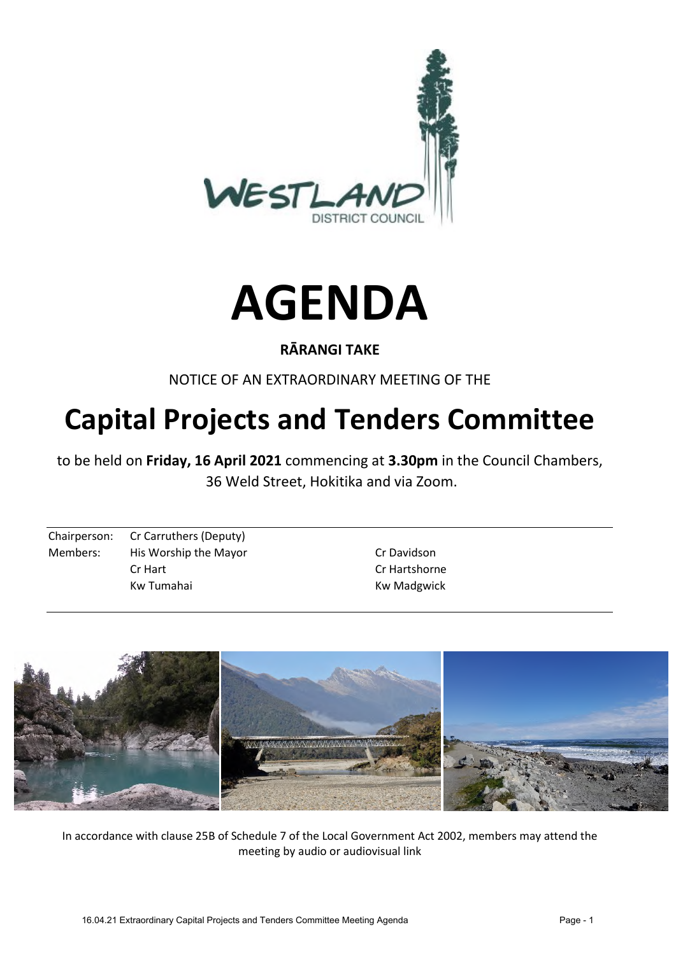



#### **RĀRANGI TAKE**

NOTICE OF AN EXTRAORDINARY MEETING OF THE

# **Capital Projects and Tenders Committee**

to be held on **Friday, 16 April 2021** commencing at **3.30pm** in the Council Chambers, 36 Weld Street, Hokitika and via Zoom.

Chairperson: Cr Carruthers (Deputy) Members: His Worship the Mayor New York Davidson Cr Hart Cr Hartshorne

Kw Tumahai **Kw Madgwick** 



In accordance with clause 25B of Schedule 7 of the Local Government Act 2002, members may attend the meeting by audio or audiovisual link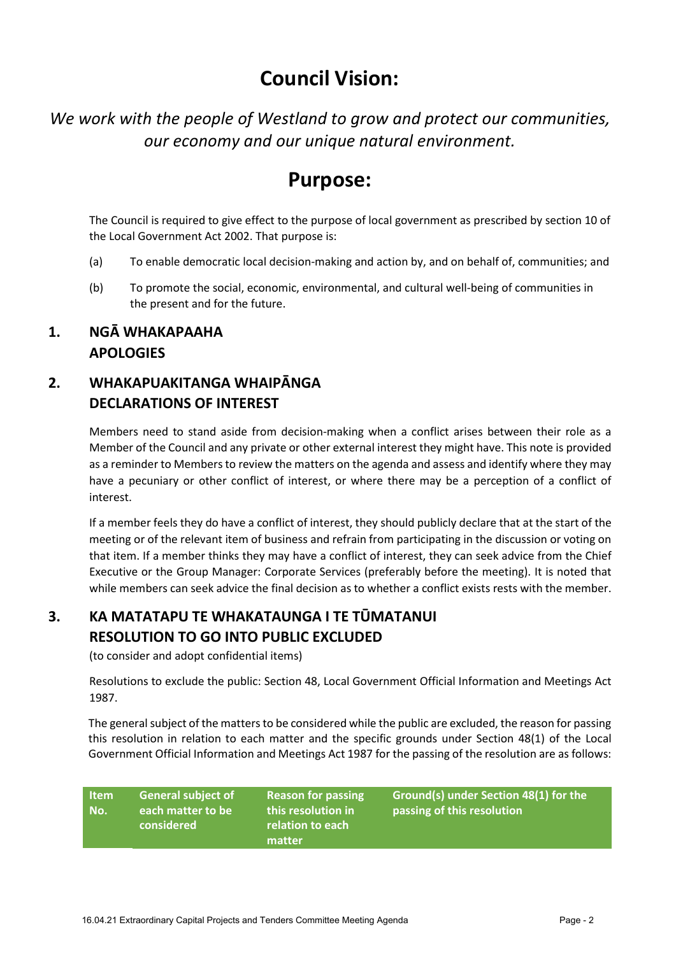## **Council Vision:**

*We work with the people of Westland to grow and protect our communities, our economy and our unique natural environment.* 

## **Purpose:**

The Council is required to give effect to the purpose of local government as prescribed by section 10 of the Local Government Act 2002. That purpose is:

- (a) To enable democratic local decision-making and action by, and on behalf of, communities; and
- (b) To promote the social, economic, environmental, and cultural well-being of communities in the present and for the future.

#### **1. NGĀ WHAKAPAAHA APOLOGIES**

### **2. WHAKAPUAKITANGA WHAIPĀNGA DECLARATIONS OF INTEREST**

Members need to stand aside from decision-making when a conflict arises between their role as a Member of the Council and any private or other external interest they might have. This note is provided as a reminder to Members to review the matters on the agenda and assess and identify where they may have a pecuniary or other conflict of interest, or where there may be a perception of a conflict of interest.

If a member feels they do have a conflict of interest, they should publicly declare that at the start of the meeting or of the relevant item of business and refrain from participating in the discussion or voting on that item. If a member thinks they may have a conflict of interest, they can seek advice from the Chief Executive or the Group Manager: Corporate Services (preferably before the meeting). It is noted that while members can seek advice the final decision as to whether a conflict exists rests with the member.

### **3. KA MATATAPU TE WHAKATAUNGA I TE TŪMATANUI RESOLUTION TO GO INTO PUBLIC EXCLUDED**

(to consider and adopt confidential items)

Resolutions to exclude the public: Section 48, Local Government Official Information and Meetings Act 1987.

The general subject of the matters to be considered while the public are excluded, the reason for passing this resolution in relation to each matter and the specific grounds under Section 48(1) of the Local Government Official Information and Meetings Act 1987 for the passing of the resolution are as follows:

**Item No. General subject of each matter to be considered Reason for passing this resolution in relation to each matter Ground(s) under Section 48(1) for the passing of this resolution**